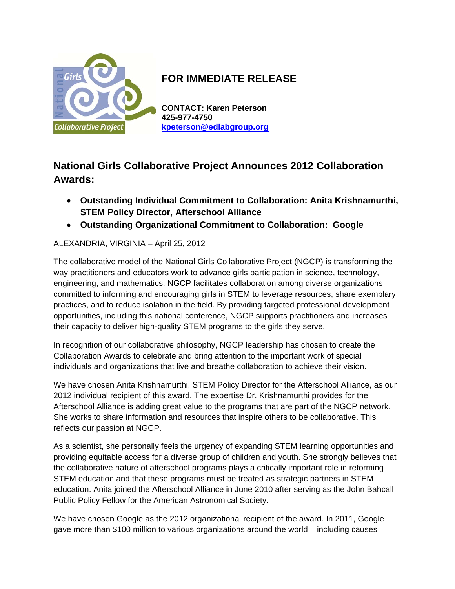

## **FOR IMMEDIATE RELEASE**

**CONTACT: Karen Peterson 425-977-4750 kpeterson@edlabgroup.org**

## **National Girls Collaborative Project Announces 2012 Collaboration Awards:**

- **Outstanding Individual Commitment to Collaboration: Anita Krishnamurthi, STEM Policy Director, Afterschool Alliance**
- **Outstanding Organizational Commitment to Collaboration: Google**

ALEXANDRIA, VIRGINIA – April 25, 2012

The collaborative model of the National Girls Collaborative Project (NGCP) is transforming the way practitioners and educators work to advance girls participation in science, technology, engineering, and mathematics. NGCP facilitates collaboration among diverse organizations committed to informing and encouraging girls in STEM to leverage resources, share exemplary practices, and to reduce isolation in the field. By providing targeted professional development opportunities, including this national conference, NGCP supports practitioners and increases their capacity to deliver high-quality STEM programs to the girls they serve.

In recognition of our collaborative philosophy, NGCP leadership has chosen to create the Collaboration Awards to celebrate and bring attention to the important work of special individuals and organizations that live and breathe collaboration to achieve their vision.

We have chosen Anita Krishnamurthi, STEM Policy Director for the Afterschool Alliance, as our 2012 individual recipient of this award. The expertise Dr. Krishnamurthi provides for the Afterschool Alliance is adding great value to the programs that are part of the NGCP network. She works to share information and resources that inspire others to be collaborative. This reflects our passion at NGCP.

As a scientist, she personally feels the urgency of expanding STEM learning opportunities and providing equitable access for a diverse group of children and youth. She strongly believes that the collaborative nature of afterschool programs plays a critically important role in reforming STEM education and that these programs must be treated as strategic partners in STEM education. Anita joined the Afterschool Alliance in June 2010 after serving as the John Bahcall Public Policy Fellow for the American Astronomical Society.

We have chosen Google as the 2012 organizational recipient of the award. In 2011, Google gave more than \$100 million to various organizations around the world – including causes